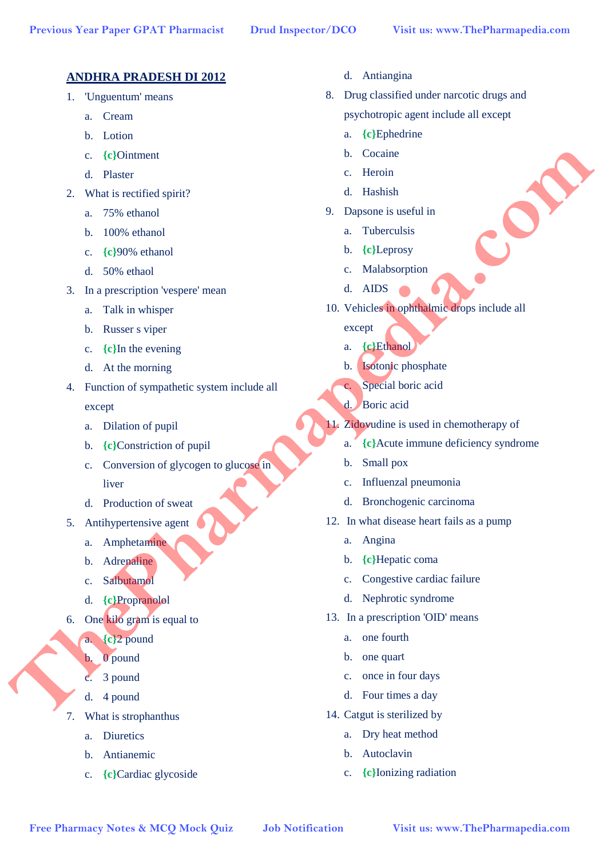## **ANDHRA PRADESH DI 2012**

- 1. 'Unguentum' means
	- a. Cream
	- b. Lotion
	- c. **{c}**Ointment
	- d. Plaster
- 2. What is rectified spirit?
	- a. 75% ethanol
	- b. 100% ethanol
	- c. **{c}**90% ethanol
	- d. 50% ethaol
- 3. In a prescription 'vespere' mean
	- a. Talk in whisper
	- b. Russer s viper
	- c. **{c}**In the evening
	- d. At the morning
- 4. Function of sympathetic system include all except **E** Colomization (Colomization of the Control of the Control of the Control of the Control of the Control of the Control of the Control of the Control of the Control of the Control of the Control of the Control of the Cont
	- a. Dilation of pupil
	- b. **{c}**Constriction of pupil
	- c. Conversion of glycogen to glucose in liver
	- d. Production of sweat
	- 5. Antihypertensive agent
		- a. Amphetamine
		- b. Adrenaline
		- c. Salbutamol
		- d. **{c}**Propranolol
	- 6. One kilo gram is equal to
		- a. **{c}**2 pound
			- 0 pound
		- c. 3 pound
		- d. 4 pound
	- 7. What is strophanthus
		- a. Diuretics
		- b. Antianemic
		- c. **{c}**Cardiac glycoside
- d. Antiangina
- 8. Drug classified under narcotic drugs and psychotropic agent include all except
	- a. **{c}**Ephedrine
	- b. Cocaine
	- c. Heroin
	- d. Hashish
- 9. Dapsone is useful in
	- a. Tuberculsis
	- b. **{c}**Leprosy
	- c. Malabsorption
	- d. AIDS
- 10. Vehicles in ophthalmic drops include all
	- except
	- a. **{c}**Ethanol
	- b. Isotonic phosphate
	- c. Special boric acid
	- d. Boric acid
- 11. Zidovudine is used in chemotherapy of
	- a. **{c}**Acute immune deficiency syndrome
	- b. Small pox
	- c. Influenzal pneumonia
	- d. Bronchogenic carcinoma
- 12. In what disease heart fails as a pump
	- a. Angina
	- b. **{c}**Hepatic coma
	- c. Congestive cardiac failure
	- d. Nephrotic syndrome
- 13. In a prescription 'OID' means
	- a. one fourth
	- b. one quart
	- c. once in four days
	- d. Four times a day
- 14. Catgut is sterilized by
	- a. Dry heat method
	- b. Autoclavin
	- c. **{c}**Ionizing radiation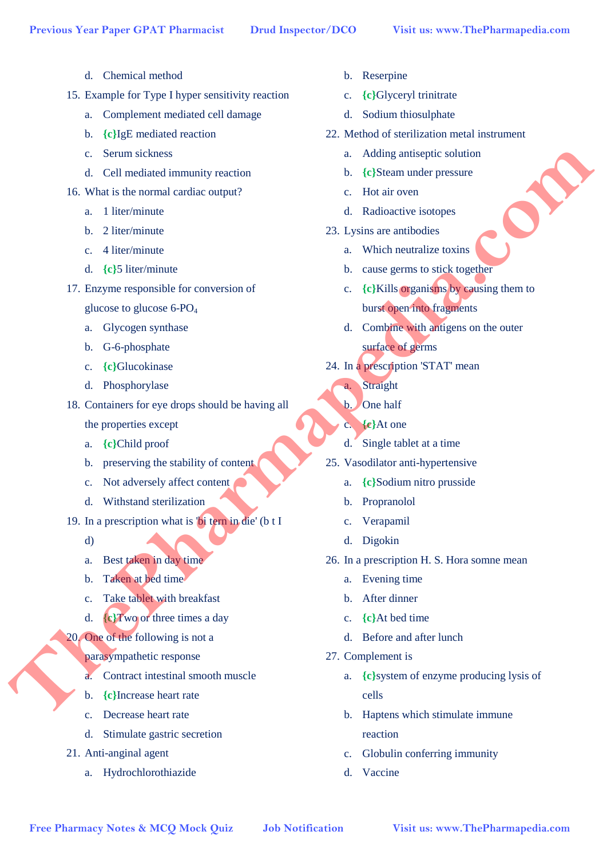- d. Chemical method
- 15. Example for Type I hyper sensitivity reaction
	- a. Complement mediated cell damage
	- b. **{c}**IgE mediated reaction
	- c. Serum sickness
	- d. Cell mediated immunity reaction
- 16. What is the normal cardiac output?
	- a. 1 liter/minute
	- b. 2 liter/minute
	- c. 4 liter/minute
	- d. **{c}**5 liter/minute
- 17. Enzyme responsible for conversion of
	- glucose to glucose  $6$ -PO<sub>4</sub>
	- a. Glycogen synthase
	- b. G-6-phosphate
	- c. **{c}**Glucokinase
	- d. Phosphorylase
- 18. Containers for eye drops should be having all
	- the properties except
	- a. **{c}**Child proof
	- b. preserving the stability of content
	- c. Not adversely affect content
	- d. Withstand sterilization
- 19. In a prescription what is 'bi tern in die' (b t I
	- d)
	- a. Best taken in day time
	- b. Taken at bed time
	- c. Take tablet with breakfast
	- d. **{c}**Two or three times a day
- 20. One of the following is not a
	- parasympathetic response
	- a. Contract intestinal smooth muscle
	- b. **{c}**Increase heart rate
	- c. Decrease heart rate
	- d. Stimulate gastric secretion
- 21. Anti-anginal agent
	- a. Hydrochlorothiazide
- b. Reserpine
- c. **{c}**Glyceryl trinitrate
- d. Sodium thiosulphate
- 22. Method of sterilization metal instrument
	- a. Adding antiseptic solution
	- b. **{c}**Steam under pressure
	- c. Hot air oven
	- d. Radioactive isotopes
- 23. Lysins are antibodies
	- a. Which neutralize toxins
	- b. cause germs to stick together
- c. **{c}**Kills organisms by causing them to burst open into fragments **Free Pharmac is cleared the control of the state of the state of the state of the blue state of the state of the state of the state of the state of the state of the state of the state of the state of the state of the sta** 
	- d. Combine with antigens on the outer surface of germs
	- 24. In a prescription 'STAT' mean
		- a. Straight
		- b. One half
		- c. **{c}**At one
		- d. Single tablet at a time
	- 25. Vasodilator anti-hypertensive
		- a. **{c}**Sodium nitro prusside
		- b. Propranolol
		- c. Verapamil
		- d. Digokin
	- 26. In a prescription H. S. Hora somne mean
		- a. Evening time
		- b. After dinner
		- c. **{c}**At bed time
		- d. Before and after lunch
	- 27. Complement is
		- a. **{c}**system of enzyme producing lysis of cells
		- b. Haptens which stimulate immune reaction
		- c. Globulin conferring immunity
		- d. Vaccine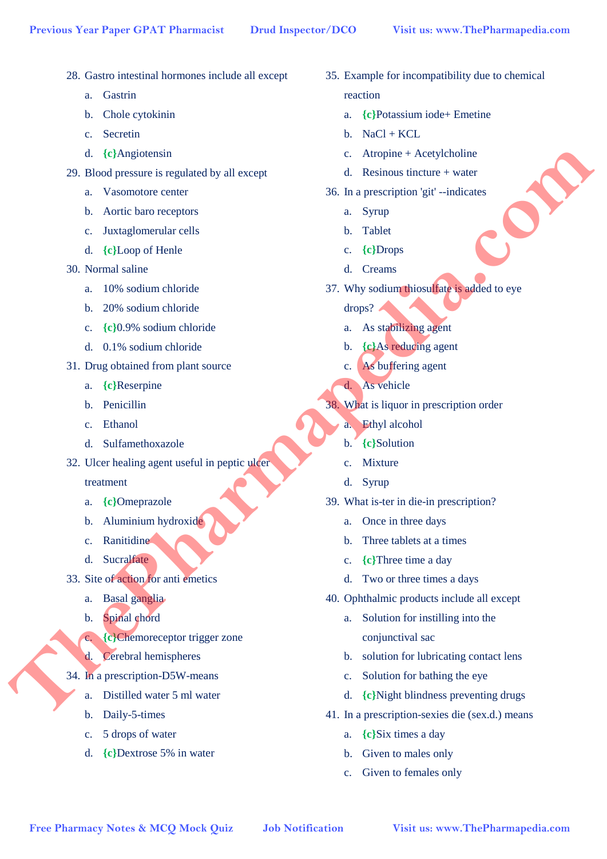- 28. Gastro intestinal hormones include all except
	- a. Gastrin
	- b. Chole cytokinin
	- c. Secretin
	- d. **{c}**Angiotensin
- 29. Blood pressure is regulated by all except
	- a. Vasomotore center
	- b. Aortic baro receptors
	- c. Juxtaglomerular cells
	- d. **{c}**Loop of Henle
- 30. Normal saline
	- a. 10% sodium chloride
	- b. 20% sodium chloride
	- c. **{c}**0.9% sodium chloride
	- d. 0.1% sodium chloride
- 31. Drug obtained from plant source
	- a. **{c}**Reserpine
	- b. Penicillin
	- c. Ethanol
	- d. Sulfamethoxazole
- 32. Ulcer healing agent useful in peptic ulcer

treatment

- a. **{c}**Omeprazole
- b. Aluminium hydroxide
- c. Ranitidine
- d. Sucralfate
- 33. Site of action for anti emetics
	- a. Basal ganglia
	- b. Spinal chord
	- c. **{c}**Chemoreceptor trigger zone
	- d. Cerebral hemispheres
- 34. In a prescription-D5W-means
	- a. Distilled water 5 ml water
	- b. Daily-5-times
	- c. 5 drops of water
	- d. **{c}**Dextrose 5% in water
- 35. Example for incompatibility due to chemical reaction
	- a. **{c}**Potassium iode+ Emetine
	- $b.$  NaCl + KCL
	- c. Atropine + Acetylcholine
	- d. Resinous tincture + water
- 36. In a prescription 'git' --indicates
	- a. Syrup
	- b. Tablet
	- c. **{c}**Drops
	- d. Creams
- 37. Why sodium thiosulfate is added to eye
	- drops?
	- a. As stabilizing agent
	- b. **{c}**As reducing agent
	- c. As buffering agent
	- d. As vehicle
- 38. What is liquor in prescription order
	- a. Ethyl alcohol
	- b. **{c}**Solution
	- c. Mixture
	- d. Syrup
- 39. What is-ter in die-in prescription?
	- a. Once in three days
	- b. Three tablets at a times
	- c. **{c}**Three time a day
	- d. Two or three times a days
- 40. Ophthalmic products include all except
	- a. Solution for instilling into the conjunctival sac
	- b. solution for lubricating contact lens
	- c. Solution for bathing the eye
	- d. **{c}**Night blindness preventing drugs
- 41. In a prescription-sexies die (sex.d.) means
	- a. **{c}**Six times a day
	- b. Given to males only
	- c. Given to females only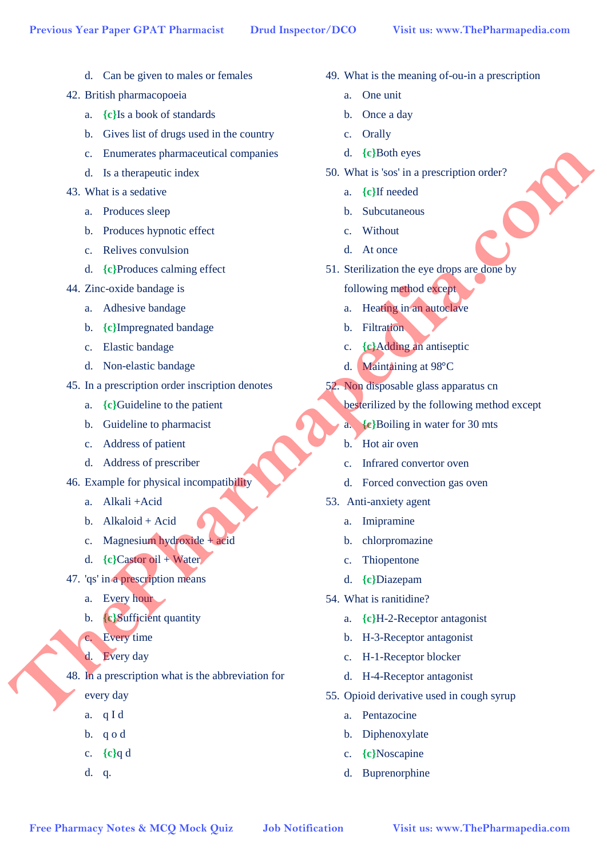- d. Can be given to males or females
- 42. British pharmacopoeia
	- a. **{c}**Is a book of standards
	- b. Gives list of drugs used in the country
	- c. Enumerates pharmaceutical companies
	- d. Is a therapeutic index
- 43. What is a sedative
	- a. Produces sleep
	- b. Produces hypnotic effect
	- c. Relives convulsion
	- d. **{c}**Produces calming effect
- 44. Zinc-oxide bandage is
	- a. Adhesive bandage
	- b. **{c}**Impregnated bandage
	- c. Elastic bandage
	- d. Non-elastic bandage
- 45. In a prescription order inscription denotes
	- a. **{c}**Guideline to the patient
	- b. Guideline to pharmacist
	- c. Address of patient
	- d. Address of prescriber
- 46. Example for physical incompatibility
	- a. Alkali +Acid
	- b. Alkaloid + Acid
	- c. Magnesium hydroxide + acid
	- d. **{c}**Castor oil + Water
- 47. 'qs' in a prescription means
	- a. Every hour
	- b. **{c}**Sufficient quantity
	- c. Every time
	- d. Every day
- 48. In a prescription what is the abbreviation for **Free Pharmacy Notes & McQ Mock Quiz**  $\alpha$  (Filter equals  $\alpha$  **C**) (Filtre equals  $\alpha$  **C**) We consider the consideration  $\alpha$  **C** (Filtre equals  $\alpha$  **C** (Filtre equals  $\alpha$  **C**) (Filtre equals  $\alpha$  **C**) (Figure et al.
	- every day
	- a. q I d
	- b. q o d
	- c. **{c}**q d
	- d. q.
- 49. What is the meaning of-ou-in a prescription
	- a. One unit
	- b. Once a day
	- c. Orally
	- d. **{c}**Both eyes
- 50. What is 'sos' in a prescription order?
	- a. **{c}**If needed
	- b. Subcutaneous
	- c. Without
	- d. At once
- 51. Sterilization the eye drops are done by
	- following method except
	- a. Heating in an autoclave
	- b. Filtration
	- c. **{c}**Adding an antiseptic
	- d. Maintaining at 98°C
- 52. Non disposable glass apparatus cn
	- besterilized by the following method except
	- a. **{c}**Boiling in water for 30 mts
	- b. Hot air oven
	- c. Infrared convertor oven
	- d. Forced convection gas oven
- 53. Anti-anxiety agent
	- a. Imipramine
	- b. chlorpromazine
	- c. Thiopentone
	- d. **{c}**Diazepam
- 54. What is ranitidine?
	- a. **{c}**H-2-Receptor antagonist
	- b. H-3-Receptor antagonist
	- c. H-1-Receptor blocker
	- d. H-4-Receptor antagonist
- 55. Opioid derivative used in cough syrup
	- a. Pentazocine
	- b. Diphenoxylate
	- c. **{c}**Noscapine
	- d. Buprenorphine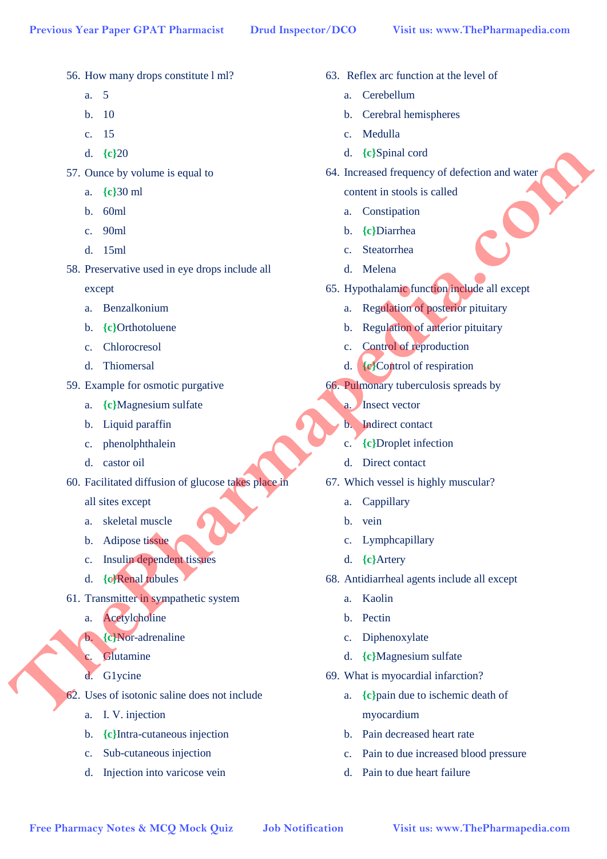- 56. How many drops constitute l ml?
	- a. 5
	- b. 10
	- c. 15
	- d. **{c}**20
- 57. Ounce by volume is equal to
	- a. **{c}**30 ml
	- b. 60ml
	- c. 90ml
	- d. 15ml
- 58. Preservative used in eye drops include all

except

- a. Benzalkonium
- b. **{c}**Orthotoluene
- c. Chlorocresol
- d. Thiomersal
- 59. Example for osmotic purgative
	- a. **{c}**Magnesium sulfate
	- b. Liquid paraffin
	- c. phenolphthalein
	- d. castor oil
- 60. Facilitated diffusion of glucose takes place in

all sites except

- a. skeletal muscle
- b. Adipose tissue
- c. Insulin dependent tissues
- d. **{c}**Renal tubules
- 61. Transmitter in sympathetic system
	- a. Acetylcholine
	- b. **{c}**Nor-adrenaline
	- c. Glutamine
	- d. G1ycine
- 62. Uses of isotonic saline does not include
	- a. I. V. injection
	- b. **{c}**Intra-cutaneous injection
	- c. Sub-cutaneous injection
	- d. Injection into varicose vein
- 63. Reflex arc function at the level of
	- a. Cerebellum
	- b. Cerebral hemispheres
	- c. Medulla
	- d. **{c}**Spinal cord
- 64. Increased frequency of defection and water
	- content in stools is called
	- a. Constipation
	- b. **{c}**Diarrhea
	- c. Steatorrhea
	- d. Melena
- 65. Hypothalamic function include all except
	- a. Regulation of posterior pituitary
	- b. Regulation of anterior pituitary
	- c. Control of reproduction
	- d. **{c}**Control of respiration
- 66. Pulmonary tuberculosis spreads by
	- a. Insect vector
	- b. Indirect contact
	- c. **{c}**Droplet infection
	- d. Direct contact
- 67. Which vessel is highly muscular?
	- a. Cappillary
	- b. vein
	- c. Lymphcapillary
	- d. **{c}**Artery
- 68. Antidiarrheal agents include all except
	- a. Kaolin
	- b. Pectin
	- c. Diphenoxylate
	- d. **{c}**Magnesium sulfate
- 69. What is myocardial infarction?
- a. **{c}**pain due to ischemic death of myocardium **F** (Ship and the second of the second of the second of the second of the second of the second of the second of the second of the second of the second of the second of the second of the second of the second of the second
	- b. Pain decreased heart rate
	- c. Pain to due increased blood pressure
	- d. Pain to due heart failure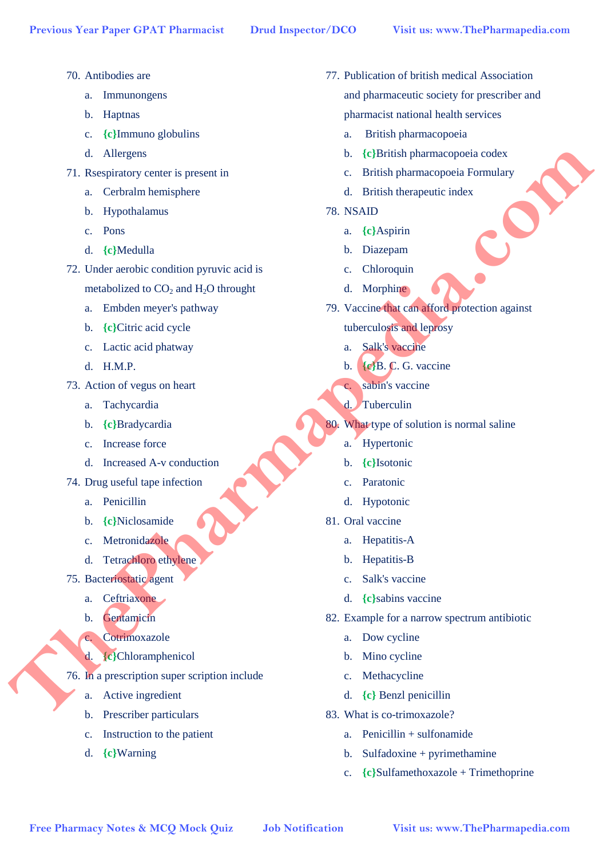- 70. Antibodies are
	- a. Immunongens
	- b. Haptnas
	- c. **{c}**Immuno globulins
	- d. Allergens
- 71. Rsespiratory center is present in
	- a. Cerbralm hemisphere
	- b. Hypothalamus
	- c. Pons
	- d. **{c}**Medulla
- 72. Under aerobic condition pyruvic acid is metabolized to  $CO<sub>2</sub>$  and  $H<sub>2</sub>O$  throught
	- a. Embden meyer's pathway
	- b. **{c}**Citric acid cycle
	- c. Lactic acid phatway
	- d. H.M.P.
- 73. Action of vegus on heart
	- a. Tachycardia
	- b. **{c}**Bradycardia
	- c. Increase force
	- d. Increased A-v conduction
- 74. Drug useful tape infection
	- a. Penicillin
	- b. **{c}**Niclosamide
	- c. Metronidazole
	- d. Tetrachloro ethylene
- 75. Bacteriostatic agent
	- a. Ceftriaxone
	- b. Gentamicin
	- c. Cotrimoxazole
	- d. **{c}**Chloramphenicol
- 76. In a prescription super scription include
	- a. Active ingredient
	- b. Prescriber particulars
	- c. Instruction to the patient
	- d. **{c}**Warning
- 77. Publication of british medical Association and pharmaceutic society for prescriber and pharmacist national health services
	- a. British pharmacopoeia
	- b. **{c}**British pharmacopoeia codex
	- c. British pharmacopoeia Formulary
	- d. British therapeutic index
- 78. NSAID
	- a. **{c}**Aspirin
	- b. Diazepam
	- c. Chloroquin
	- d. Morphine
- 79. Vaccine that can afford protection against tuberculosis and leprosy **Free Pharmacy Notes & McQ Mock Quiz**  $\alpha$  Labela beneficiently and  $\alpha$  Labela density of the properties and the principal and  $\alpha$  Chief and the Company of the Chief and the Chief and the Chief and the Chief and the Chi
	- a. Salk's vaccine
	- b. **{c}**B. C. G. vaccine
	- c. sabin's vaccine
	- d. Tuberculin
	- 80. What type of solution is normal saline
		- a. Hypertonic
		- b. **{c}**Isotonic
		- c. Paratonic
		- d. Hypotonic
	- 81. Oral vaccine
		- a. Hepatitis-A
		- b. Hepatitis-B
		- c. Salk's vaccine
		- d. **{c}**sabins vaccine
	- 82. Example for a narrow spectrum antibiotic
		- a. Dow cycline
		- b. Mino cycline
		- c. Methacycline
		- d. **{c}** Benzl penicillin
	- 83. What is co-trimoxazole?
		- $a$  Penicillin  $+$  sulfonamide
		- b. Sulfadoxine + pyrimethamine
		- c. **{c}**Sulfamethoxazole + Trimethoprine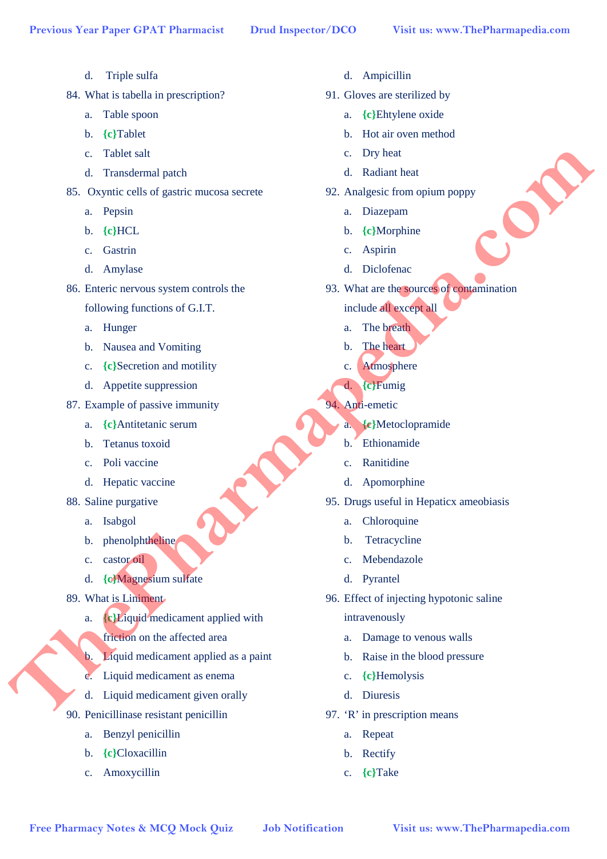- d. Triple sulfa
- 84. What is tabella in prescription?
	- a. Table spoon
	- b. **{c}**Tablet
	- c. Tablet salt
	- d. Transdermal patch
- 85. Oxyntic cells of gastric mucosa secrete
	- a. Pepsin
	- b. **{c}**HCL
	- c. Gastrin
	- d. Amylase
- 86. Enteric nervous system controls the
	- following functions of G.I.T.
	- a. Hunger
	- b. Nausea and Vomiting
	- c. **{c}**Secretion and motility
	- d. Appetite suppression
- 87. Example of passive immunity
	- a. **{c}**Antitetanic serum
	- b. Tetanus toxoid
	- c. Poli vaccine
	- d. Hepatic vaccine
- 88. Saline purgative
	- a. Isabgol
	- b. phenolphtheline
	- c. castor oil
	- d. **{c}**Magnesium sulfate
- 89. What is Liniment
	- a. **{c}**Liquid medicament applied with
		- friction on the affected area
	- b. Liquid medicament applied as a paint
	- c. Liquid medicament as enema
	- d. Liquid medicament given orally
- 90. Penicillinase resistant penicillin
	- a. Benzyl penicillin
	- b. **{c}**Cloxacillin
	- c. Amoxycillin
- d. Ampicillin
- 91. Gloves are sterilized by
	- a. **{c}**Ehtylene oxide
	- b. Hot air oven method
	- c. Dry heat
	- d. Radiant heat
- 92. Analgesic from opium poppy
	- a. Diazepam
	- b. **{c}**Morphine
	- c. Aspirin
	- d. Diclofenac
- 93. What are the sources of contamination
	- include all except all
	- a. The breath
	- b. The heart
	- c. Atmosphere
	- d. **{c}**Fumig
- 94. Anti-emetic
	- a. **{c}**Metoclopramide
	- b. Ethionamide
	- c. Ranitidine
	- d. Apomorphine
- 95. Drugs useful in Hepaticx ameobiasis
	- a. Chloroquine
	- b. Tetracycline
	- c. Mebendazole
	- d. Pyrantel
- 96. Effect of injecting hypotonic saline intravenously **Free Pharmac is a complete the secondary of the Control of the Control of the Control of the Control of the Control of the Control of the Control of the Control of the Control of the Control of the Control of the Control** 
	- a. Damage to venous walls
	- b. Raise in the blood pressure
	- c. **{c}**Hemolysis
	- d. Diuresis
	- 97. 'R' in prescription means
		- a. Repeat
		- b. Rectify
		- c. **{c}**Take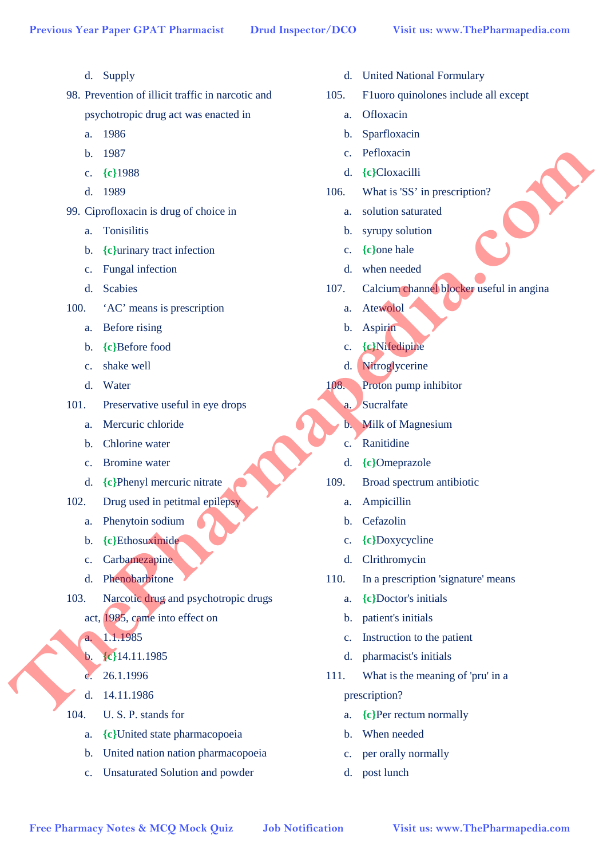- d. Supply
- 98. Prevention of illicit traffic in narcotic and psychotropic drug act was enacted in
	- a. 1986
	- b. 1987
	- c. **{c}**1988
	- d. 1989
- 99. Ciprofloxacin is drug of choice in
	- a. Tonisilitis
	- b. **{c}**urinary tract infection
	- c. Fungal infection
	- d. Scabies
- 100. 'AC' means is prescription
	- a. Before rising
	- b. **{c}**Before food
	- c. shake well
	- d. Water
- 101. Preservative useful in eye drops
	- a. Mercuric chloride
	- b. Chlorine water
	- c. Bromine water
	- d. **{c}**Phenyl mercuric nitrate
- 102. Drug used in petitmal epilepsy
	- a. Phenytoin sodium
	- b. **{c}**Ethosuximide
	- c. Carbamezapine
	- d. Phenobarbitone
- 103. Narcotic drug and psychotropic drugs
	- act, 1985, came into effect on
	- a. 1.1.1985
	- b. **{c}**14.11.1985
		- 26.1.1996
	- d. 14.11.1986
- 104. U. S. P. stands for
	- a. **{c}**United state pharmacopoeia
	- b. United nation nation pharmacopoeia
	- c. Unsaturated Solution and powder
- d. United National Formulary
- 105. F1uoro quinolones include all except
	- a. Ofloxacin
	- b. Sparfloxacin
	- c. Pefloxacin
	- d. **{c}**Cloxacilli
- 106. What is 'SS' in prescription?
	- a. solution saturated
	- b. syrupy solution
	- c. **{c}**one hale
	- d. when needed
- 107. Calcium channel blocker useful in angina
	- a. Atewolol
	- b. Aspirin
	- c. **{c}**Nifedipine
	- d. Nitroglycerine
- 108. Proton pump inhibitor
	- a. Sucralfate
	- b. Milk of Magnesium
	- c. Ranitidine
	- d. **{c}**Omeprazole
- 109. Broad spectrum antibiotic
	- a. Ampicillin
	- b. Cefazolin
	- c. **{c}**Doxycycline
	- d. Clrithromycin
- 110. In a prescription 'signature' means
	- a. **{c}**Doctor's initials
	- b. patient's initials
	- c. Instruction to the patient
	- d. pharmacist's initials
- 111. What is the meaning of 'pru' in a prescription? **Free Pharmacy Notes & MCQ Mock Quiz <br>
Free Pharmacy Notes & MCQ Mock Quiz <br>
<b>Free Pharmacy Notes & MCQ** Work Quiz<br> **Free Pharmacy Notes & MCQ** Work Quiz<br> **Free Pharmacy Pharmacy Content Content Content Content Content Con** 
	- a. **{c}**Per rectum normally
	- b. When needed
	- c. per orally normally
	- d. post lunch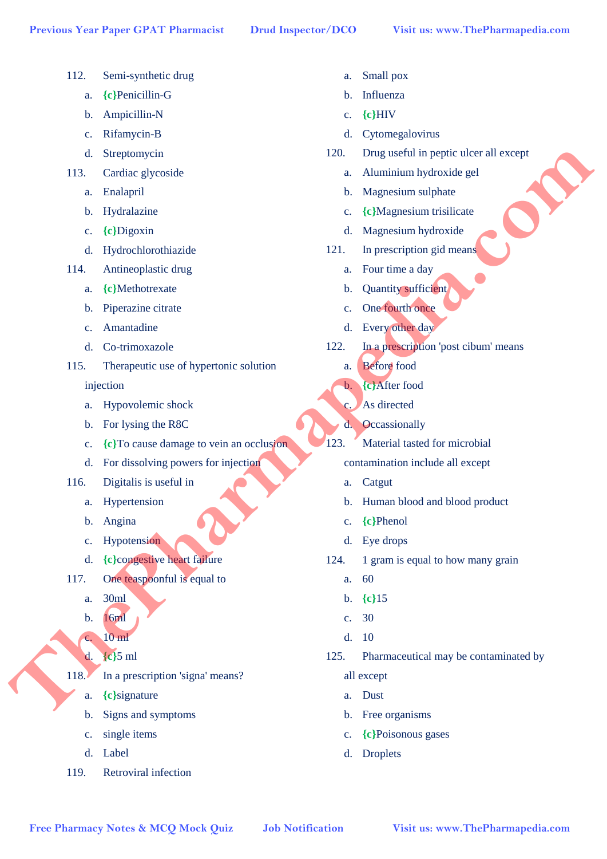- 112. Semi-synthetic drug
	- a. **{c}**Penicillin-G
	- b. Ampicillin-N
	- c. Rifamycin-B
	- d. Streptomycin
- 113. Cardiac glycoside
	- a. Enalapril
	- b. Hydralazine
	- c. **{c}**Digoxin
	- d. Hydrochlorothiazide
- 114. Antineoplastic drug
	- a. **{c}**Methotrexate
	- b. Piperazine citrate
	- c. Amantadine
	- d. Co-trimoxazole
- 115. Therapeutic use of hypertonic solution Free Pharmacy Notes & MCQ Mock Quiz **Drawing Control in the Control in the Control in the McCOMON CONSULT CONSULT CONSULT CONSULT CONSULT CONSULT CONSULT CONSULT CONSULT CONSULT CONSULT CONSULT CONSULT CONSULT CONSULT CONS**

## injection

- a. Hypovolemic shock
- b. For lysing the R8C
- c. **{c}**To cause damage to vein an occlusion
- d. For dissolving powers for injection
- 116. Digitalis is useful in
	- a. Hypertension
	- b. Angina
	- c. Hypotension
	- d. **{c}**congestive heart failure
- 117. One teaspoonful is equal to
	- a. 30ml
	- b. 16ml
	- c. 10 ml
	- d. **{c}**5 ml
- 118. In a prescription 'signa' means?
	- a. **{c}**signature
	- b. Signs and symptoms
	- c. single items
	- d. Label
- 119. Retroviral infection
- a. Small pox
- b. Influenza
- c. **{c}**HIV
- d. Cytomegalovirus
- 120. Drug useful in peptic ulcer all except
	- a. Aluminium hydroxide gel
	- b. Magnesium sulphate
	- c. **{c}**Magnesium trisilicate
	- d. Magnesium hydroxide
- 121. In prescription gid means
	- a. Four time a day
	- b. Quantity sufficient
	- c. One fourth once
	- d. Every other day
- 122. In a prescription 'post cibum' means
	- a. Before food
	- b. **{c}**After food
	- c. As directed
	- d. Occassionally
- 123. Material tasted for microbial
	- contamination include all except
	- a. Catgut
	- b. Human blood and blood product
	- c. **{c}**Phenol
	- d. Eye drops
- 124. 1 gram is equal to how many grain
	- a. 60
	- b. **{c}**15
	- c. 30
	- d. 10
- 125. Pharmaceutical may be contaminated by
	- all except
	- a. Dust
	- b. Free organisms
	- c. **{c}**Poisonous gases
	- d. Droplets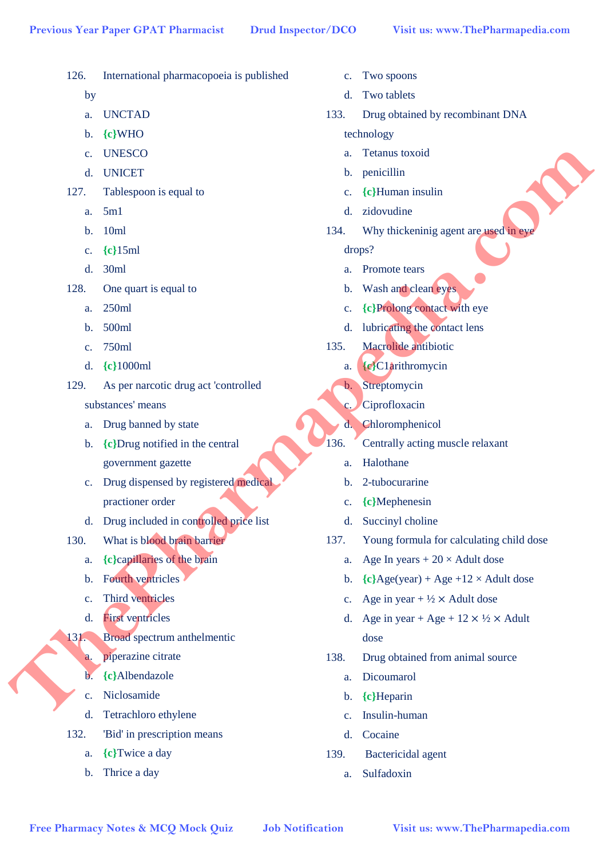126. International pharmacopoeia is published

- by a. UNCTAD b. **{c}**WHO c. UNESCO d. UNICET 127. Tablespoon is equal to a. 5m1 b. 10ml c. **{c}**15ml d. 30ml 128. One quart is equal to a. 250ml b. 500ml c. 750ml d. **{c}**1000ml 129. As per narcotic drug act 'controlled substances' means a. Drug banned by state b. **{c}**Drug notified in the central government gazette c. Drug dispensed by registered medical practioner order d. Drug included in controlled price list 130. What is blood brain barrier a. **{c}**capillaries of the brain b. Fourth ventricles c. Third ventricles d. First ventricles 131. Broad spectrum anthelmentic a. piperazine citrate b. **{c}**Albendazole c. Niclosamide d. Tetrachloro ethylene 132. 'Bid' in prescription means a. **{c}**Twice a day b. Thrice a day drops? **Free Pharmacy Notice Altons and the Control of the Control of the Control of the Control of the Control of the Control of the Control of the Control of the Control of the Control of the Control of the Control of the Cont**
- c. Two spoons
- d. Two tablets
	- 133. Drug obtained by recombinant DNA

technology

- a. Tetanus toxoid
- b. penicillin
- c. **{c}**Human insulin
- d. zidovudine
- 134. Why thickeninig agent are used in eye
	- a. Promote tears
	- b. Wash and clean eyes
	- c. **{c}**Prolong contact with eye
	- d. lubricating the contact lens
- 135. Macrolide antibiotic
	- a. **{c}**C1arithromycin
	- b. Streptomycin
	- c. Ciprofloxacin
	- d. Chloromphenicol
- 136. Centrally acting muscle relaxant
	- a. Halothane
	- b. 2-tubocurarine
	- c. **{c}**Mephenesin
	- d. Succinyl choline
- 137. Young formula for calculating child dose
	- a. Age In years  $+20 \times$  Adult dose
	- b.  ${c}$ Age(year) + Age +12 × Adult dose
	- c. Age in year  $+\frac{1}{2} \times$  Adult dose
	- d. Age in year + Age +  $12 \times \frac{1}{2} \times$  Adult dose
- 138. Drug obtained from animal source
	- a. Dicoumarol
	- b. **{c}**Heparin
	- c. Insulin-human
	- d. Cocaine
- 139. Bactericidal agent
	- a. Sulfadoxin